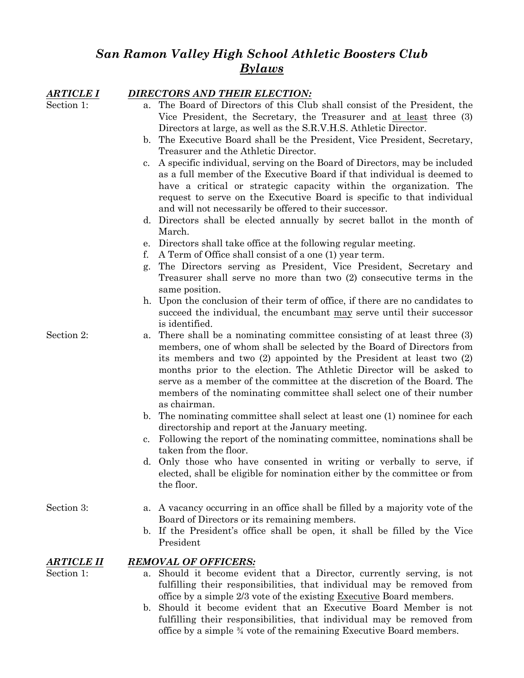# *San Ramon Valley High School Athletic Boosters Club Bylaws*

| ARTICLE I  | DIRECTORS AND THEIR ELECTION:                                                            |
|------------|------------------------------------------------------------------------------------------|
| Section 1: | The Board of Directors of this Club shall consist of the President, the<br>a.            |
|            | Vice President, the Secretary, the Treasurer and at least three (3)                      |
|            | Directors at large, as well as the S.R.V.H.S. Athletic Director.                         |
|            | The Executive Board shall be the President, Vice President, Secretary,<br>$\mathbf{b}$ . |
|            | Treasurer and the Athletic Director.                                                     |
|            | A specific individual, serving on the Board of Directors, may be included<br>c.          |
|            | as a full member of the Executive Board if that individual is deemed to                  |
|            | have a critical or strategic capacity within the organization. The                       |
|            | request to serve on the Executive Board is specific to that individual                   |
|            | and will not necessarily be offered to their successor.                                  |
|            | d. Directors shall be elected annually by secret ballot in the month of                  |
|            | March.                                                                                   |
|            | Directors shall take office at the following regular meeting.<br>е.                      |
|            | A Term of Office shall consist of a one (1) year term.<br>f.                             |
|            | The Directors serving as President, Vice President, Secretary and<br>g.                  |
|            | Treasurer shall serve no more than two (2) consecutive terms in the                      |
|            | same position.                                                                           |
|            | h. Upon the conclusion of their term of office, if there are no candidates to            |
|            | succeed the individual, the encumbant may serve until their successor                    |
|            | is identified.                                                                           |
| Section 2: | There shall be a nominating committee consisting of at least three (3)<br>a.             |
|            | members, one of whom shall be selected by the Board of Directors from                    |
|            | its members and two $(2)$ appointed by the President at least two $(2)$                  |
|            | months prior to the election. The Athletic Director will be asked to                     |
|            | serve as a member of the committee at the discretion of the Board. The                   |
|            | members of the nominating committee shall select one of their number                     |
|            | as chairman.                                                                             |
|            | b. The nominating committee shall select at least one (1) nominee for each               |
|            | directorship and report at the January meeting.                                          |
|            | Following the report of the nominating committee, nominations shall be<br>$c_{\cdot}$    |
|            | taken from the floor.                                                                    |
|            | d. Only those who have consented in writing or verbally to serve, if                     |
|            | elected, shall be eligible for nomination either by the committee or from<br>the floor.  |
|            |                                                                                          |
| Section 3: | a. A vacancy occurring in an office shall be filled by a majority vote of the            |
|            | Board of Directors or its remaining members.                                             |
|            | b. If the President's office shall be open, it shall be filled by the Vice               |
|            | President                                                                                |
|            |                                                                                          |
| ARTICLE II | <b>REMOVAL OF OFFICERS:</b>                                                              |
| Section 1: | a. Should it become evident that a Director, currently serving, is not                   |
|            | fulfilling their responsibilities, that individual may be removed from                   |
|            | office by a simple 2/3 vote of the existing Executive Board members.                     |
|            | b. Should it become evident that an Executive Board Member is not                        |
|            | fulfilling their responsibilities, that individual may be removed from                   |

office by a simple ¾ vote of the remaining Executive Board members.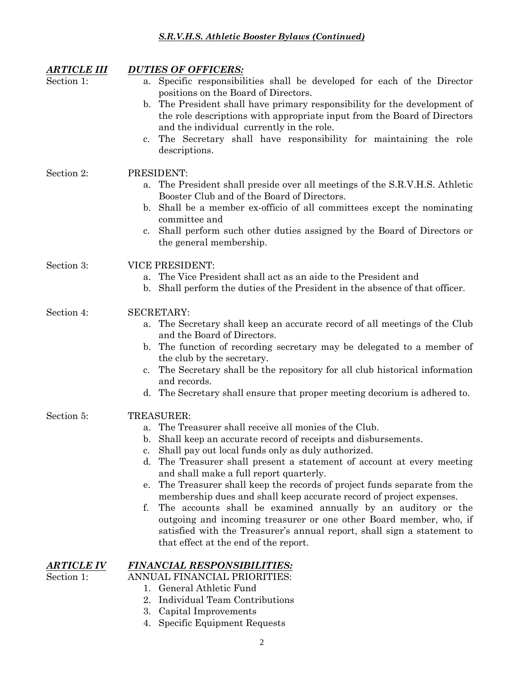| <b>ARTICLE III</b> | <b>DUTIES OF OFFICERS:</b>                                                                                            |
|--------------------|-----------------------------------------------------------------------------------------------------------------------|
| Section 1:         | Specific responsibilities shall be developed for each of the Director<br>a.                                           |
|                    | positions on the Board of Directors.                                                                                  |
|                    | b. The President shall have primary responsibility for the development of                                             |
|                    | the role descriptions with appropriate input from the Board of Directors<br>and the individual currently in the role. |
|                    | The Secretary shall have responsibility for maintaining the role<br>$\mathbf{c}$ .                                    |
|                    | descriptions.                                                                                                         |
| Section 2:         | PRESIDENT:                                                                                                            |
|                    | The President shall preside over all meetings of the S.R.V.H.S. Athletic<br>a.                                        |
|                    | Booster Club and of the Board of Directors.                                                                           |
|                    | b. Shall be a member ex-officio of all committees except the nominating                                               |
|                    | committee and<br>Shall perform such other duties assigned by the Board of Directors or<br>c.                          |
|                    | the general membership.                                                                                               |
| Section 3:         | <b>VICE PRESIDENT:</b>                                                                                                |
|                    | a. The Vice President shall act as an aide to the President and                                                       |
|                    | b. Shall perform the duties of the President in the absence of that officer.                                          |
| Section 4:         | <b>SECRETARY:</b>                                                                                                     |
|                    | The Secretary shall keep an accurate record of all meetings of the Club<br>a.                                         |
|                    | and the Board of Directors.                                                                                           |
|                    | b. The function of recording secretary may be delegated to a member of<br>the club by the secretary.                  |
|                    | The Secretary shall be the repository for all club historical information<br>$c_{\cdot}$                              |
|                    | and records.                                                                                                          |
|                    | d. The Secretary shall ensure that proper meeting decorium is adhered to.                                             |
| Section 5:         | TREASURER:                                                                                                            |
|                    | The Treasurer shall receive all monies of the Club.                                                                   |
|                    | b. Shall keep an accurate record of receipts and disbursements.                                                       |
|                    | c. Shall pay out local funds only as duly authorized.                                                                 |
|                    | The Treasurer shall present a statement of account at every meeting<br>d.<br>and shall make a full report quarterly.  |
|                    | The Treasurer shall keep the records of project funds separate from the<br>e.                                         |
|                    | membership dues and shall keep accurate record of project expenses.                                                   |
|                    | f.<br>The accounts shall be examined annually by an auditory or the                                                   |
|                    | outgoing and incoming treasurer or one other Board member, who, if                                                    |
|                    | satisfied with the Treasurer's annual report, shall sign a statement to<br>that effect at the end of the report.      |
| <b>ARTICLE IV</b>  | <b>FINANCIAL RESPONSIBILITIES:</b>                                                                                    |
| Section 1:         | ANNUAL FINANCIAL PRIORITIES:                                                                                          |
|                    | 1. General Athletic Fund                                                                                              |
|                    | 2. Individual Team Contributions                                                                                      |

3. Capital Improvements 4. Specific Equipment Requests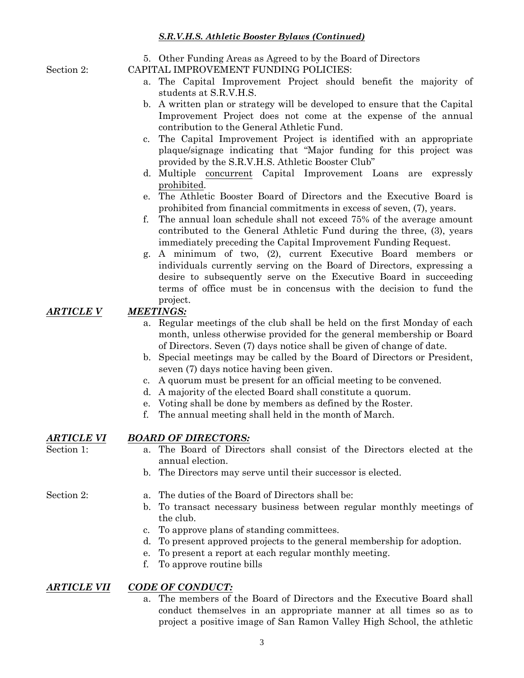5. Other Funding Areas as Agreed to by the Board of Directors

Section 2: CAPITAL IMPROVEMENT FUNDING POLICIES:

- a. The Capital Improvement Project should benefit the majority of students at S.R.V.H.S.
- b. A written plan or strategy will be developed to ensure that the Capital Improvement Project does not come at the expense of the annual contribution to the General Athletic Fund.
- c. The Capital Improvement Project is identified with an appropriate plaque/signage indicating that "Major funding for this project was provided by the S.R.V.H.S. Athletic Booster Club"
- d. Multiple concurrent Capital Improvement Loans are expressly prohibited.
- e. The Athletic Booster Board of Directors and the Executive Board is prohibited from financial commitments in excess of seven, (7), years.
- f. The annual loan schedule shall not exceed 75% of the average amount contributed to the General Athletic Fund during the three, (3), years immediately preceding the Capital Improvement Funding Request.
- g. A minimum of two, (2), current Executive Board members or individuals currently serving on the Board of Directors, expressing a desire to subsequently serve on the Executive Board in succeeding terms of office must be in concensus with the decision to fund the project.

## *ARTICLE V MEETINGS:*

- a. Regular meetings of the club shall be held on the first Monday of each month, unless otherwise provided for the general membership or Board of Directors. Seven (7) days notice shall be given of change of date.
- b. Special meetings may be called by the Board of Directors or President, seven (7) days notice having been given.
- c. A quorum must be present for an official meeting to be convened.
- d. A majority of the elected Board shall constitute a quorum.
- e. Voting shall be done by members as defined by the Roster.
- f. The annual meeting shall held in the month of March.

#### *ARTICLE VI BOARD OF DIRECTORS:*

- Section 1: a. The Board of Directors shall consist of the Directors elected at the annual election.
	- b. The Directors may serve until their successor is elected.

- Section 2: **a.** The duties of the Board of Directors shall be:
	- b. To transact necessary business between regular monthly meetings of the club.
	- c. To approve plans of standing committees.
	- d. To present approved projects to the general membership for adoption.
	- e. To present a report at each regular monthly meeting.
	- f. To approve routine bills

#### *ARTICLE VII CODE OF CONDUCT:*

a. The members of the Board of Directors and the Executive Board shall conduct themselves in an appropriate manner at all times so as to project a positive image of San Ramon Valley High School, the athletic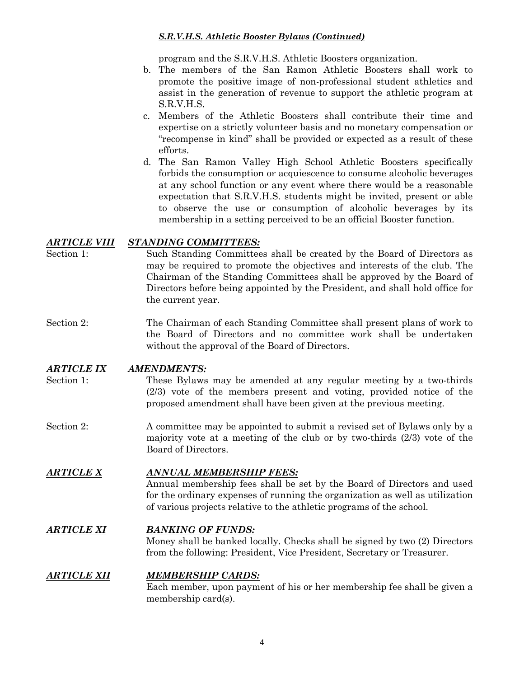program and the S.R.V.H.S. Athletic Boosters organization.

- b. The members of the San Ramon Athletic Boosters shall work to promote the positive image of non-professional student athletics and assist in the generation of revenue to support the athletic program at S.R.V.H.S.
- c. Members of the Athletic Boosters shall contribute their time and expertise on a strictly volunteer basis and no monetary compensation or "recompense in kind" shall be provided or expected as a result of these efforts.
- d. The San Ramon Valley High School Athletic Boosters specifically forbids the consumption or acquiescence to consume alcoholic beverages at any school function or any event where there would be a reasonable expectation that S.R.V.H.S. students might be invited, present or able to observe the use or consumption of alcoholic beverages by its membership in a setting perceived to be an official Booster function.

#### *ARTICLE VIII STANDING COMMITTEES:*

- Section 1: Such Standing Committees shall be created by the Board of Directors as may be required to promote the objectives and interests of the club. The Chairman of the Standing Committees shall be approved by the Board of Directors before being appointed by the President, and shall hold office for the current year.
- Section 2: The Chairman of each Standing Committee shall present plans of work to the Board of Directors and no committee work shall be undertaken without the approval of the Board of Directors.

#### *ARTICLE IX AMENDMENTS:*

- Section 1: These Bylaws may be amended at any regular meeting by a two-thirds (2/3) vote of the members present and voting, provided notice of the proposed amendment shall have been given at the previous meeting.
- Section 2: A committee may be appointed to submit a revised set of Bylaws only by a majority vote at a meeting of the club or by two-thirds (2/3) vote of the Board of Directors.

#### *ARTICLE X ANNUAL MEMBERSHIP FEES:*

Annual membership fees shall be set by the Board of Directors and used for the ordinary expenses of running the organization as well as utilization of various projects relative to the athletic programs of the school.

#### *ARTICLE XI BANKING OF FUNDS:*

Money shall be banked locally. Checks shall be signed by two (2) Directors from the following: President, Vice President, Secretary or Treasurer.

#### *ARTICLE XII MEMBERSHIP CARDS:*

Each member, upon payment of his or her membership fee shall be given a membership card(s).